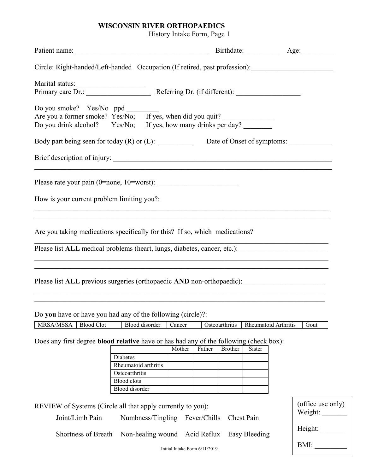## **WISCONSIN RIVER ORTHOPAEDICS**

History Intake Form, Page 1

| Circle: Right-handed/Left-handed Occupation (If retired, past profession): ________________________                                                                                                                                                                                                                                                                              |                                                                                                                                                                                                                                                                                                                                                                                                                                                                                    |        |        |                |                      |         |                   |
|----------------------------------------------------------------------------------------------------------------------------------------------------------------------------------------------------------------------------------------------------------------------------------------------------------------------------------------------------------------------------------|------------------------------------------------------------------------------------------------------------------------------------------------------------------------------------------------------------------------------------------------------------------------------------------------------------------------------------------------------------------------------------------------------------------------------------------------------------------------------------|--------|--------|----------------|----------------------|---------|-------------------|
|                                                                                                                                                                                                                                                                                                                                                                                  |                                                                                                                                                                                                                                                                                                                                                                                                                                                                                    |        |        |                |                      |         |                   |
| Do you smoke? Yes/No ppd<br>Are you a former smoke? Yes/No; If yes, when did you quit?<br>Do you drink alcohol? Yes/No; If yes, how many drinks per day?                                                                                                                                                                                                                         |                                                                                                                                                                                                                                                                                                                                                                                                                                                                                    |        |        |                |                      |         |                   |
| Body part being seen for today (R) or (L): Date of Onset of symptoms:                                                                                                                                                                                                                                                                                                            |                                                                                                                                                                                                                                                                                                                                                                                                                                                                                    |        |        |                |                      |         |                   |
|                                                                                                                                                                                                                                                                                                                                                                                  |                                                                                                                                                                                                                                                                                                                                                                                                                                                                                    |        |        |                |                      |         |                   |
|                                                                                                                                                                                                                                                                                                                                                                                  |                                                                                                                                                                                                                                                                                                                                                                                                                                                                                    |        |        |                |                      |         |                   |
| How is your current problem limiting you?:                                                                                                                                                                                                                                                                                                                                       |                                                                                                                                                                                                                                                                                                                                                                                                                                                                                    |        |        |                |                      |         |                   |
| Are you taking medications specifically for this? If so, which medications?<br>Please list ALL medical problems (heart, lungs, diabetes, cancer, etc.): ___________________________<br>,我们也不能在这里的人,我们也不能在这里的人,我们也不能在这里的人,我们也不能在这里的人,我们也不能在这里的人,我们也不能在这里的人,我们也不能在这里的人,我们也<br>Please list ALL previous surgeries (orthopaedic AND non-orthopaedic): ______________________________ |                                                                                                                                                                                                                                                                                                                                                                                                                                                                                    |        |        |                |                      |         |                   |
| Do you have or have you had any of the following (circle)?:                                                                                                                                                                                                                                                                                                                      |                                                                                                                                                                                                                                                                                                                                                                                                                                                                                    |        |        |                |                      |         |                   |
| MRSA/MSSA<br><b>Blood Clot</b>                                                                                                                                                                                                                                                                                                                                                   | Blood disorder                                                                                                                                                                                                                                                                                                                                                                                                                                                                     | Cancer |        | Osteoarthritis | Rheumatoid Arthritis |         | Gout              |
| Does any first degree <b>blood relative</b> have or has had any of the following (check box):                                                                                                                                                                                                                                                                                    | Diabetes<br>Rheumatoid arthritis<br>Osteoarthritis<br><b>Blood</b> clots<br>Blood disorder                                                                                                                                                                                                                                                                                                                                                                                         | Mother | Father | <b>Brother</b> | <b>Sister</b>        |         |                   |
| REVIEW of Systems (Circle all that apply currently to you):                                                                                                                                                                                                                                                                                                                      |                                                                                                                                                                                                                                                                                                                                                                                                                                                                                    |        |        |                |                      |         | (office use only) |
| Joint/Limb Pain                                                                                                                                                                                                                                                                                                                                                                  | Weight: $\frac{1}{\sqrt{1-\frac{1}{2}}\cdot\sqrt{1-\frac{1}{2}}\cdot\sqrt{1-\frac{1}{2}}\cdot\sqrt{1-\frac{1}{2}}\cdot\sqrt{1-\frac{1}{2}}\cdot\sqrt{1-\frac{1}{2}}\cdot\sqrt{1-\frac{1}{2}}\cdot\sqrt{1-\frac{1}{2}}\cdot\sqrt{1-\frac{1}{2}}\cdot\sqrt{1-\frac{1}{2}}\cdot\sqrt{1-\frac{1}{2}}\cdot\sqrt{1-\frac{1}{2}}\cdot\sqrt{1-\frac{1}{2}}\cdot\sqrt{1-\frac{1}{2}}\cdot\sqrt{1-\frac{1}{2}}\cdot\sqrt{1-\frac{1}{2}}\$<br>Numbness/Tingling<br>Fever/Chills<br>Chest Pain |        |        |                |                      |         |                   |
|                                                                                                                                                                                                                                                                                                                                                                                  | Shortness of Breath<br>Non-healing wound Acid Reflux<br>Easy Bleeding                                                                                                                                                                                                                                                                                                                                                                                                              |        |        |                |                      | Height: |                   |
| BMI:<br>Initial Intake Form 6/11/2019                                                                                                                                                                                                                                                                                                                                            |                                                                                                                                                                                                                                                                                                                                                                                                                                                                                    |        |        |                |                      |         |                   |